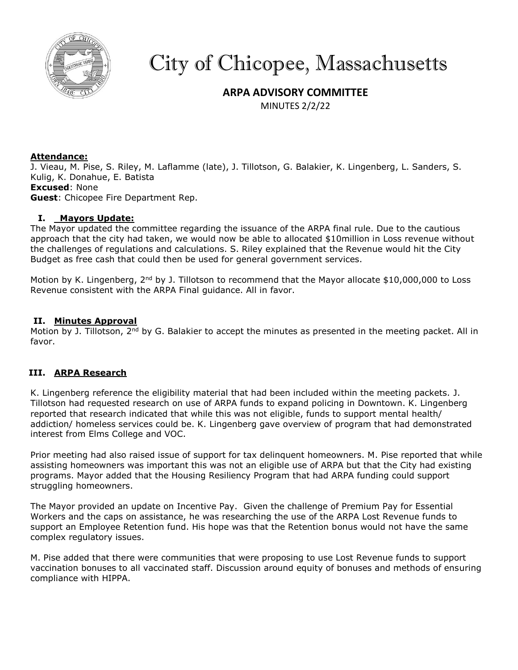

# City of Chicopee, Massachusetts

# **ARPA ADVISORY COMMITTEE**

MINUTES 2/2/22

## **Attendance:**

J. Vieau, M. Pise, S. Riley, M. Laflamme (late), J. Tillotson, G. Balakier, K. Lingenberg, L. Sanders, S. Kulig, K. Donahue, E. Batista **Excused**: None **Guest**: Chicopee Fire Department Rep.

## **I. Mayors Update:**

The Mayor updated the committee regarding the issuance of the ARPA final rule. Due to the cautious approach that the city had taken, we would now be able to allocated \$10million in Loss revenue without the challenges of regulations and calculations. S. Riley explained that the Revenue would hit the City Budget as free cash that could then be used for general government services.

Motion by K. Lingenberg,  $2^{nd}$  by J. Tillotson to recommend that the Mayor allocate \$10,000,000 to Loss Revenue consistent with the ARPA Final guidance. All in favor.

#### **II. Minutes Approval**

Motion by J. Tillotson,  $2^{nd}$  by G. Balakier to accept the minutes as presented in the meeting packet. All in favor.

# **III. ARPA Research**

K. Lingenberg reference the eligibility material that had been included within the meeting packets. J. Tillotson had requested research on use of ARPA funds to expand policing in Downtown. K. Lingenberg reported that research indicated that while this was not eligible, funds to support mental health/ addiction/ homeless services could be. K. Lingenberg gave overview of program that had demonstrated interest from Elms College and VOC.

Prior meeting had also raised issue of support for tax delinquent homeowners. M. Pise reported that while assisting homeowners was important this was not an eligible use of ARPA but that the City had existing programs. Mayor added that the Housing Resiliency Program that had ARPA funding could support struggling homeowners.

The Mayor provided an update on Incentive Pay. Given the challenge of Premium Pay for Essential Workers and the caps on assistance, he was researching the use of the ARPA Lost Revenue funds to support an Employee Retention fund. His hope was that the Retention bonus would not have the same complex regulatory issues.

M. Pise added that there were communities that were proposing to use Lost Revenue funds to support vaccination bonuses to all vaccinated staff. Discussion around equity of bonuses and methods of ensuring compliance with HIPPA.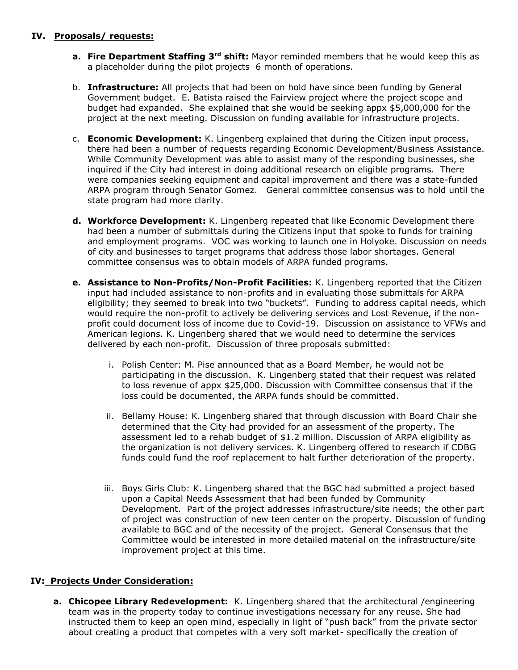## **IV. Proposals/ requests:**

- **a. Fire Department Staffing 3rd shift:** Mayor reminded members that he would keep this as a placeholder during the pilot projects 6 month of operations.
- b. **Infrastructure:** All projects that had been on hold have since been funding by General Government budget. E. Batista raised the Fairview project where the project scope and budget had expanded. She explained that she would be seeking appx \$5,000,000 for the project at the next meeting. Discussion on funding available for infrastructure projects.
- c. **Economic Development:** K. Lingenberg explained that during the Citizen input process, there had been a number of requests regarding Economic Development/Business Assistance. While Community Development was able to assist many of the responding businesses, she inquired if the City had interest in doing additional research on eligible programs. There were companies seeking equipment and capital improvement and there was a state-funded ARPA program through Senator Gomez. General committee consensus was to hold until the state program had more clarity.
- **d. Workforce Development:** K. Lingenberg repeated that like Economic Development there had been a number of submittals during the Citizens input that spoke to funds for training and employment programs. VOC was working to launch one in Holyoke. Discussion on needs of city and businesses to target programs that address those labor shortages. General committee consensus was to obtain models of ARPA funded programs.
- **e. Assistance to Non-Profits/Non-Profit Facilities:** K. Lingenberg reported that the Citizen input had included assistance to non-profits and in evaluating those submittals for ARPA eligibility; they seemed to break into two "buckets". Funding to address capital needs, which would require the non-profit to actively be delivering services and Lost Revenue, if the nonprofit could document loss of income due to Covid-19. Discussion on assistance to VFWs and American legions. K. Lingenberg shared that we would need to determine the services delivered by each non-profit. Discussion of three proposals submitted:
	- i. Polish Center: M. Pise announced that as a Board Member, he would not be participating in the discussion. K. Lingenberg stated that their request was related to loss revenue of appx \$25,000. Discussion with Committee consensus that if the loss could be documented, the ARPA funds should be committed.
	- ii. Bellamy House: K. Lingenberg shared that through discussion with Board Chair she determined that the City had provided for an assessment of the property. The assessment led to a rehab budget of \$1.2 million. Discussion of ARPA eligibility as the organization is not delivery services. K. Lingenberg offered to research if CDBG funds could fund the roof replacement to halt further deterioration of the property.
	- iii. Boys Girls Club: K. Lingenberg shared that the BGC had submitted a project based upon a Capital Needs Assessment that had been funded by Community Development. Part of the project addresses infrastructure/site needs; the other part of project was construction of new teen center on the property. Discussion of funding available to BGC and of the necessity of the project. General Consensus that the Committee would be interested in more detailed material on the infrastructure/site improvement project at this time.

# **IV: Projects Under Consideration:**

**a. Chicopee Library Redevelopment:** K. Lingenberg shared that the architectural /engineering team was in the property today to continue investigations necessary for any reuse. She had instructed them to keep an open mind, especially in light of "push back" from the private sector about creating a product that competes with a very soft market- specifically the creation of